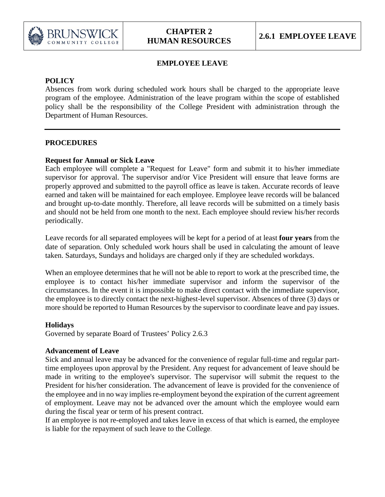

# **EMPLOYEE LEAVE**

# **POLICY**

Absences from work during scheduled work hours shall be charged to the appropriate leave program of the employee. Administration of the leave program within the scope of established policy shall be the responsibility of the College President with administration through the Department of Human Resources.

## **PROCEDURES**

# **Request for Annual or Sick Leave**

Each employee will complete a "Request for Leave" form and submit it to his/her immediate supervisor for approval. The supervisor and/or Vice President will ensure that leave forms are properly approved and submitted to the payroll office as leave is taken. Accurate records of leave earned and taken will be maintained for each employee. Employee leave records will be balanced and brought up-to-date monthly. Therefore, all leave records will be submitted on a timely basis and should not be held from one month to the next. Each employee should review his/her records periodically.

Leave records for all separated employees will be kept for a period of at least **four years** from the date of separation. Only scheduled work hours shall be used in calculating the amount of leave taken. Saturdays, Sundays and holidays are charged only if they are scheduled workdays.

When an employee determines that he will not be able to report to work at the prescribed time, the employee is to contact his/her immediate supervisor and inform the supervisor of the circumstances. In the event it is impossible to make direct contact with the immediate supervisor, the employee is to directly contact the next-highest-level supervisor. Absences of three (3) days or more should be reported to Human Resources by the supervisor to coordinate leave and pay issues.

## **Holidays**

Governed by separate Board of Trustees' Policy 2.6.3

## **Advancement of Leave**

Sick and annual leave may be advanced for the convenience of regular full-time and regular parttime employees upon approval by the President. Any request for advancement of leave should be made in writing to the employee's supervisor. The supervisor will submit the request to the President for his/her consideration. The advancement of leave is provided for the convenience of the employee and in no way implies re-employment beyond the expiration of the current agreement of employment. Leave may not be advanced over the amount which the employee would earn during the fiscal year or term of his present contract.

If an employee is not re-employed and takes leave in excess of that which is earned, the employee is liable for the repayment of such leave to the College.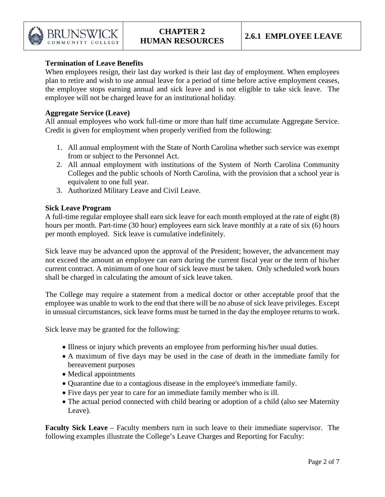

## **Termination of Leave Benefits**

When employees resign, their last day worked is their last day of employment. When employees plan to retire and wish to use annual leave for a period of time before active employment ceases, the employee stops earning annual and sick leave and is not eligible to take sick leave. The employee will not be charged leave for an institutional holiday.

#### **Aggregate Service (Leave)**

All annual employees who work full-time or more than half time accumulate Aggregate Service. Credit is given for employment when properly verified from the following:

- 1. All annual employment with the State of North Carolina whether such service was exempt from or subject to the Personnel Act.
- 2. All annual employment with institutions of the System of North Carolina Community Colleges and the public schools of North Carolina, with the provision that a school year is equivalent to one full year.
- 3. Authorized Military Leave and Civil Leave.

#### **Sick Leave Program**

A full-time regular employee shall earn sick leave for each month employed at the rate of eight (8) hours per month. Part-time (30 hour) employees earn sick leave monthly at a rate of six (6) hours per month employed. Sick leave is cumulative indefinitely.

Sick leave may be advanced upon the approval of the President; however, the advancement may not exceed the amount an employee can earn during the current fiscal year or the term of his/her current contract. A minimum of one hour of sick leave must be taken. Only scheduled work hours shall be charged in calculating the amount of sick leave taken.

The College may require a statement from a medical doctor or other acceptable proof that the employee was unable to work to the end that there will be no abuse of sick leave privileges. Except in unusual circumstances, sick leave forms must be turned in the day the employee returns to work.

Sick leave may be granted for the following:

- Illness or injury which prevents an employee from performing his/her usual duties.
- A maximum of five days may be used in the case of death in the immediate family for bereavement purposes
- Medical appointments
- Quarantine due to a contagious disease in the employee's immediate family.
- Five days per year to care for an immediate family member who is ill.
- The actual period connected with child bearing or adoption of a child (also see Maternity Leave).

**Faculty Sick Leave** – Faculty members turn in such leave to their immediate supervisor. The following examples illustrate the College's Leave Charges and Reporting for Faculty: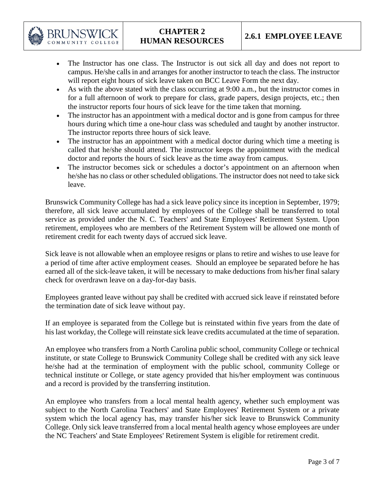

# **CHAPTER 2 HUMAN RESOURCES 2.6.1 EMPLOYEE LEAVE**

- The Instructor has one class. The Instructor is out sick all day and does not report to campus. He/she calls in and arranges for another instructor to teach the class. The instructor will report eight hours of sick leave taken on BCC Leave Form the next day.
- As with the above stated with the class occurring at 9:00 a.m., but the instructor comes in for a full afternoon of work to prepare for class, grade papers, design projects, etc.; then the instructor reports four hours of sick leave for the time taken that morning.
- The instructor has an appointment with a medical doctor and is gone from campus for three hours during which time a one-hour class was scheduled and taught by another instructor. The instructor reports three hours of sick leave.
- The instructor has an appointment with a medical doctor during which time a meeting is called that he/she should attend. The instructor keeps the appointment with the medical doctor and reports the hours of sick leave as the time away from campus.
- The instructor becomes sick or schedules a doctor's appointment on an afternoon when he/she has no class or other scheduled obligations. The instructor does not need to take sick leave.

Brunswick Community College has had a sick leave policy since its inception in September, 1979; therefore, all sick leave accumulated by employees of the College shall be transferred to total service as provided under the N. C. Teachers' and State Employees' Retirement System. Upon retirement, employees who are members of the Retirement System will be allowed one month of retirement credit for each twenty days of accrued sick leave.

Sick leave is not allowable when an employee resigns or plans to retire and wishes to use leave for a period of time after active employment ceases. Should an employee be separated before he has earned all of the sick-leave taken, it will be necessary to make deductions from his/her final salary check for overdrawn leave on a day-for-day basis.

Employees granted leave without pay shall be credited with accrued sick leave if reinstated before the termination date of sick leave without pay.

If an employee is separated from the College but is reinstated within five years from the date of his last workday, the College will reinstate sick leave credits accumulated at the time of separation.

An employee who transfers from a North Carolina public school, community College or technical institute, or state College to Brunswick Community College shall be credited with any sick leave he/she had at the termination of employment with the public school, community College or technical institute or College, or state agency provided that his/her employment was continuous and a record is provided by the transferring institution.

An employee who transfers from a local mental health agency, whether such employment was subject to the North Carolina Teachers' and State Employees' Retirement System or a private system which the local agency has, may transfer his/her sick leave to Brunswick Community College. Only sick leave transferred from a local mental health agency whose employees are under the NC Teachers' and State Employees' Retirement System is eligible for retirement credit.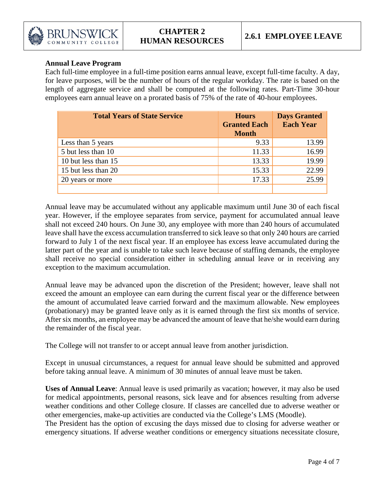

## **Annual Leave Program**

Each full-time employee in a full-time position earns annual leave, except full-time faculty. A day, for leave purposes, will be the number of hours of the regular workday. The rate is based on the length of aggregate service and shall be computed at the following rates. Part-Time 30-hour employees earn annual leave on a prorated basis of 75% of the rate of 40-hour employees.

| <b>Total Years of State Service</b> | <b>Hours</b><br><b>Granted Each</b><br><b>Month</b> | <b>Days Granted</b><br><b>Each Year</b> |
|-------------------------------------|-----------------------------------------------------|-----------------------------------------|
| Less than 5 years                   | 9.33                                                | 13.99                                   |
| 5 but less than 10                  | 11.33                                               | 16.99                                   |
| 10 but less than 15                 | 13.33                                               | 19.99                                   |
| 15 but less than 20                 | 15.33                                               | 22.99                                   |
| 20 years or more                    | 17.33                                               | 25.99                                   |
|                                     |                                                     |                                         |

Annual leave may be accumulated without any applicable maximum until June 30 of each fiscal year. However, if the employee separates from service, payment for accumulated annual leave shall not exceed 240 hours. On June 30, any employee with more than 240 hours of accumulated leave shall have the excess accumulation transferred to sick leave so that only 240 hours are carried forward to July 1 of the next fiscal year. If an employee has excess leave accumulated during the latter part of the year and is unable to take such leave because of staffing demands, the employee shall receive no special consideration either in scheduling annual leave or in receiving any exception to the maximum accumulation.

Annual leave may be advanced upon the discretion of the President; however, leave shall not exceed the amount an employee can earn during the current fiscal year or the difference between the amount of accumulated leave carried forward and the maximum allowable. New employees (probationary) may be granted leave only as it is earned through the first six months of service. After six months, an employee may be advanced the amount of leave that he/she would earn during the remainder of the fiscal year.

The College will not transfer to or accept annual leave from another jurisdiction.

Except in unusual circumstances, a request for annual leave should be submitted and approved before taking annual leave. A minimum of 30 minutes of annual leave must be taken.

**Uses of Annual Leave**: Annual leave is used primarily as vacation; however, it may also be used for medical appointments, personal reasons, sick leave and for absences resulting from adverse weather conditions and other College closure. If classes are cancelled due to adverse weather or other emergencies, make-up activities are conducted via the College's LMS (Moodle).

The President has the option of excusing the days missed due to closing for adverse weather or emergency situations. If adverse weather conditions or emergency situations necessitate closure,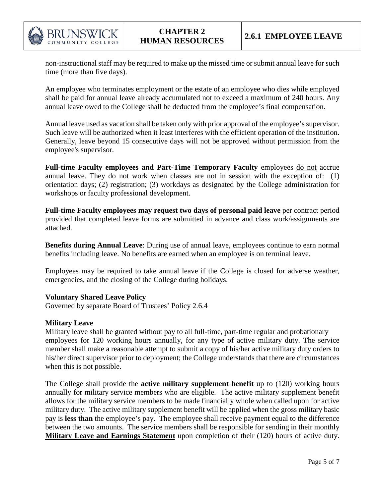

non-instructional staff may be required to make up the missed time or submit annual leave for such time (more than five days).

An employee who terminates employment or the estate of an employee who dies while employed shall be paid for annual leave already accumulated not to exceed a maximum of 240 hours. Any annual leave owed to the College shall be deducted from the employee's final compensation.

Annual leave used as vacation shall be taken only with prior approval of the employee's supervisor. Such leave will be authorized when it least interferes with the efficient operation of the institution. Generally, leave beyond 15 consecutive days will not be approved without permission from the employee's supervisor.

**Full-time Faculty employees and Part-Time Temporary Faculty** employees do not accrue annual leave. They do not work when classes are not in session with the exception of: (1) orientation days; (2) registration; (3) workdays as designated by the College administration for workshops or faculty professional development.

**Full-time Faculty employees may request two days of personal paid leave** per contract period provided that completed leave forms are submitted in advance and class work/assignments are attached.

**Benefits during Annual Leave**: During use of annual leave, employees continue to earn normal benefits including leave. No benefits are earned when an employee is on terminal leave.

Employees may be required to take annual leave if the College is closed for adverse weather, emergencies, and the closing of the College during holidays.

## **Voluntary Shared Leave Policy**

Governed by separate Board of Trustees' Policy 2.6.4

#### **Military Leave**

Military leave shall be granted without pay to all full-time, part-time regular and probationary employees for 120 working hours annually, for any type of active military duty. The service member shall make a reasonable attempt to submit a copy of his/her active military duty orders to his/her direct supervisor prior to deployment; the College understands that there are circumstances when this is not possible.

The College shall provide the **active military supplement benefit** up to (120) working hours annually for military service members who are eligible. The active military supplement benefit allows for the military service members to be made financially whole when called upon for active military duty. The active military supplement benefit will be applied when the gross military basic pay is **less than** the employee's pay. The employee shall receive payment equal to the difference between the two amounts. The service members shall be responsible for sending in their monthly **Military Leave and Earnings Statement** upon completion of their (120) hours of active duty.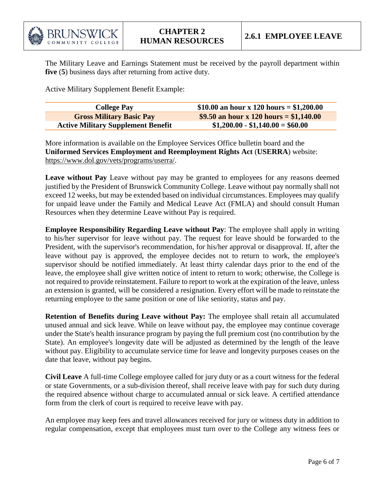

The Military Leave and Earnings Statement must be received by the payroll department within **five** (**5**) business days after returning from active duty.

Active Military Supplement Benefit Example:

| <b>College Pay</b>                        | \$10.00 an hour x 120 hours = \$1,200.00 |
|-------------------------------------------|------------------------------------------|
| <b>Gross Military Basic Pay</b>           | \$9.50 an hour x 120 hours = \$1,140.00  |
| <b>Active Military Supplement Benefit</b> | $$1,200.00 - $1,140.00 = $60.00$         |

More information is available on the Employee Services Office bulletin board and the **Uniformed Services Employment and Reemployment Rights Act** (**USERRA**) website: [https://www.dol.gov/vets/programs/userra/.](https://www.dol.gov/vets/programs/userra/)

**Leave without Pay** Leave without pay may be granted to employees for any reasons deemed justified by the President of Brunswick Community College. Leave without pay normally shall not exceed 12 weeks, but may be extended based on individual circumstances. Employees may qualify for unpaid leave under the Family and Medical Leave Act (FMLA) and should consult Human Resources when they determine Leave without Pay is required.

**Employee Responsibility Regarding Leave without Pay**: The employee shall apply in writing to his/her supervisor for leave without pay. The request for leave should be forwarded to the President, with the supervisor's recommendation, for his/her approval or disapproval. If, after the leave without pay is approved, the employee decides not to return to work, the employee's supervisor should be notified immediately. At least thirty calendar days prior to the end of the leave, the employee shall give written notice of intent to return to work; otherwise, the College is not required to provide reinstatement. Failure to report to work at the expiration of the leave, unless an extension is granted, will be considered a resignation. Every effort will be made to reinstate the returning employee to the same position or one of like seniority, status and pay.

**Retention of Benefits during Leave without Pay:** The employee shall retain all accumulated unused annual and sick leave. While on leave without pay, the employee may continue coverage under the State's health insurance program by paying the full premium cost (no contribution by the State). An employee's longevity date will be adjusted as determined by the length of the leave without pay. Eligibility to accumulate service time for leave and longevity purposes ceases on the date that leave, without pay begins.

**Civil Leave** A full-time College employee called for jury duty or as a court witness for the federal or state Governments, or a sub-division thereof, shall receive leave with pay for such duty during the required absence without charge to accumulated annual or sick leave. A certified attendance form from the clerk of court is required to receive leave with pay.

An employee may keep fees and travel allowances received for jury or witness duty in addition to regular compensation, except that employees must turn over to the College any witness fees or